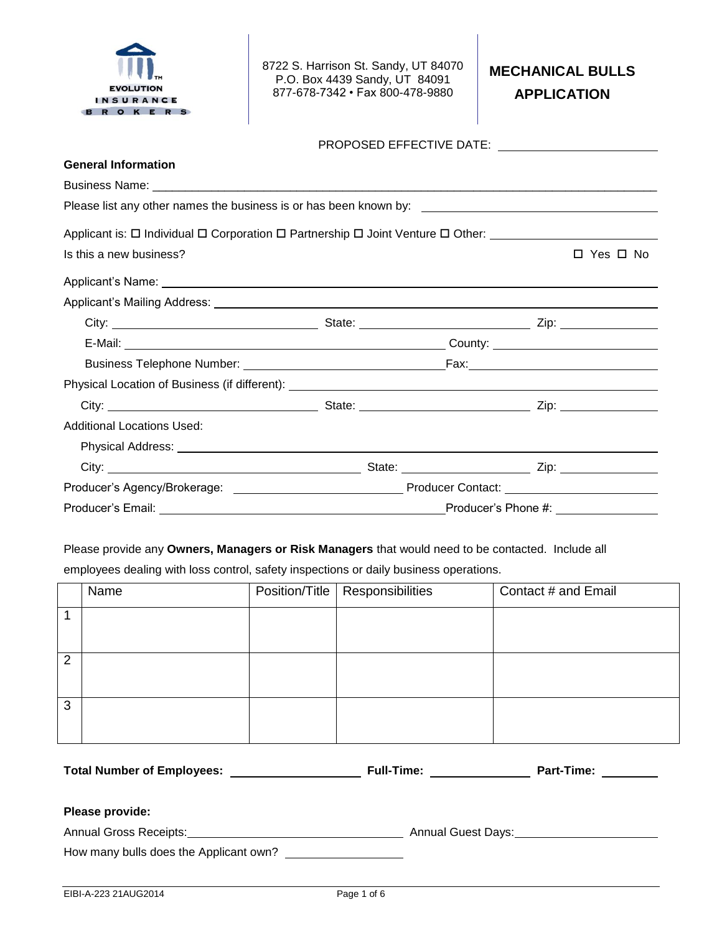

8722 S. Harrison St. Sandy, UT 84070 P.O. Box 4439 Sandy, UT 84091 877-678-7342 • Fax 800-478-9880

# **MECHANICAL BULLS APPLICATION**

| <b>General Information</b>                                                                                |  |                     |            |  |
|-----------------------------------------------------------------------------------------------------------|--|---------------------|------------|--|
|                                                                                                           |  |                     |            |  |
|                                                                                                           |  |                     |            |  |
| Applicant is: □ Individual □ Corporation □ Partnership □ Joint Venture □ Other: _________________________ |  |                     |            |  |
| Is this a new business?                                                                                   |  |                     | □ Yes □ No |  |
|                                                                                                           |  |                     |            |  |
|                                                                                                           |  |                     |            |  |
|                                                                                                           |  |                     |            |  |
|                                                                                                           |  |                     |            |  |
|                                                                                                           |  |                     |            |  |
|                                                                                                           |  |                     |            |  |
|                                                                                                           |  |                     |            |  |
| <b>Additional Locations Used:</b>                                                                         |  |                     |            |  |
|                                                                                                           |  |                     |            |  |
|                                                                                                           |  |                     |            |  |
|                                                                                                           |  |                     |            |  |
| Producer's Email:                                                                                         |  | Producer's Phone #: |            |  |

Please provide any **Owners, Managers or Risk Managers** that would need to be contacted. Include all

employees dealing with loss control, safety inspections or daily business operations.

|                | Name                                                                                                                                                                                                                                                       |  | Position/Title   Responsibilities | Contact # and Email |  |
|----------------|------------------------------------------------------------------------------------------------------------------------------------------------------------------------------------------------------------------------------------------------------------|--|-----------------------------------|---------------------|--|
| 1              |                                                                                                                                                                                                                                                            |  |                                   |                     |  |
| $\overline{2}$ |                                                                                                                                                                                                                                                            |  |                                   |                     |  |
| 3              |                                                                                                                                                                                                                                                            |  |                                   |                     |  |
|                | Part-Time: ________<br><b>Full-Time:</b> The contract of the contract of the contract of the contract of the contract of the contract of the contract of the contract of the contract of the contract of the contract of the contract of the contract of t |  |                                   |                     |  |
|                | Please provide:                                                                                                                                                                                                                                            |  |                                   |                     |  |

Annual Gross Receipts: Annual Guest Days: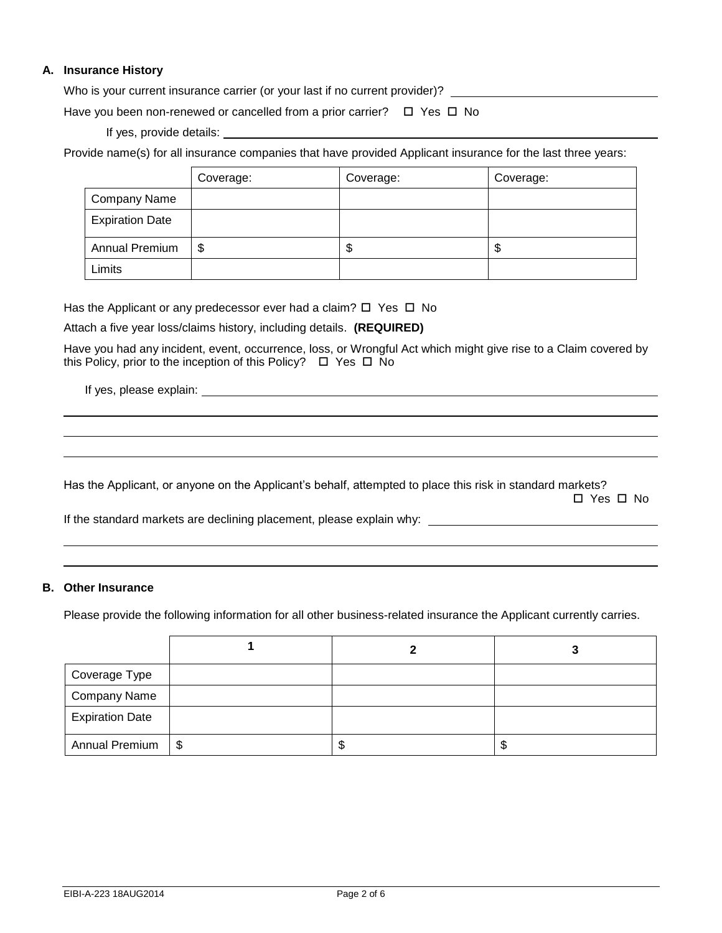### **A. Insurance History**

Who is your current insurance carrier (or your last if no current provider)? \_\_\_\_\_\_\_\_\_\_\_\_\_\_\_\_\_\_\_\_\_\_\_\_\_\_\_\_\_\_\_\_\_

Have you been non-renewed or cancelled from a prior carrier?  $\Box$  Yes  $\Box$  No

If yes, provide details:

Provide name(s) for all insurance companies that have provided Applicant insurance for the last three years:

|                        | Coverage: | Coverage: | Coverage: |
|------------------------|-----------|-----------|-----------|
| <b>Company Name</b>    |           |           |           |
| <b>Expiration Date</b> |           |           |           |
| <b>Annual Premium</b>  | S         | ۰D        | J         |
| Limits                 |           |           |           |

Has the Applicant or any predecessor ever had a claim?  $\Box$  Yes  $\Box$  No

Attach a five year loss/claims history, including details. **(REQUIRED)**

Have you had any incident, event, occurrence, loss, or Wrongful Act which might give rise to a Claim covered by this Policy, prior to the inception of this Policy?  $\Box$  Yes  $\Box$  No

If yes, please explain:

Has the Applicant, or anyone on the Applicant's behalf, attempted to place this risk in standard markets? □ Yes □ No

If the standard markets are declining placement, please explain why:

#### **B. Other Insurance**

Please provide the following information for all other business-related insurance the Applicant currently carries.

| Coverage Type          |           |   |    |
|------------------------|-----------|---|----|
| <b>Company Name</b>    |           |   |    |
| <b>Expiration Date</b> |           |   |    |
| Annual Premium         | <b>\$</b> | D | ۰D |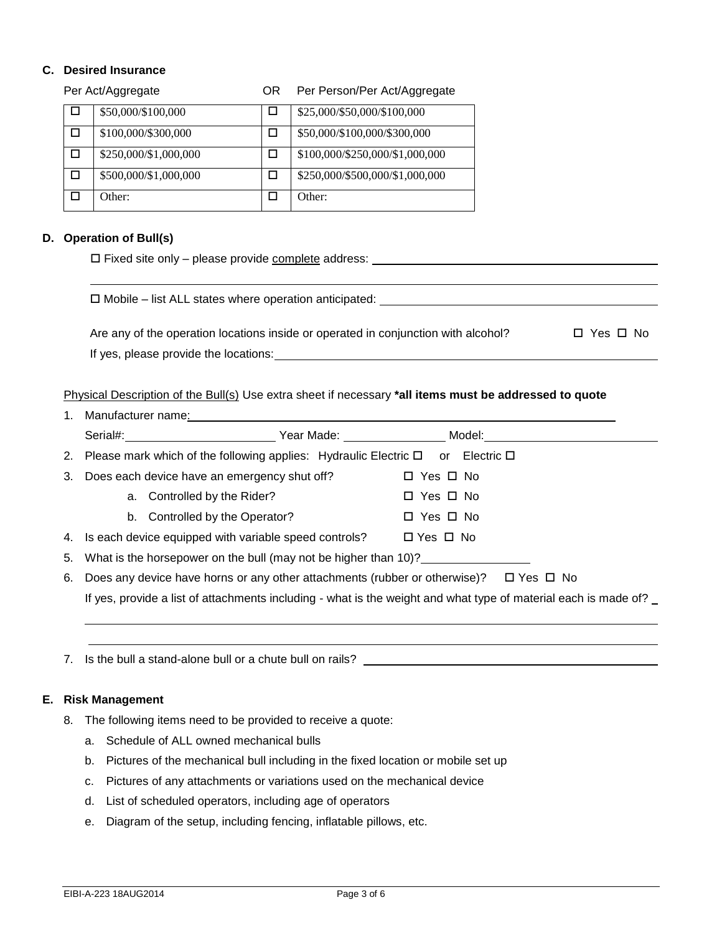## **C. Desired Insurance**

|   | Per Act/Aggregate     | <b>OR</b> | Per Person/Per Act/Aggregate    |
|---|-----------------------|-----------|---------------------------------|
| H | \$50,000/\$100,000    | ப         | \$25,000/\$50,000/\$100,000     |
|   | \$100,000/\$300,000   |           | \$50,000/\$100,000/\$300,000    |
|   | \$250,000/\$1,000,000 |           | \$100,000/\$250,000/\$1,000,000 |
|   | \$500,000/\$1,000,000 |           | \$250,000/\$500,000/\$1,000,000 |
|   | Other:                |           | Other:                          |

## **D. Operation of Bull(s)**

| $\Box$ Fixed site only – please provide complete address: |  |  |
|-----------------------------------------------------------|--|--|
|                                                           |  |  |

| $\Box$ Mobile – list ALL states where operation anticipated:                       |            |
|------------------------------------------------------------------------------------|------------|
| Are any of the operation locations inside or operated in conjunction with alcohol? | □ Yes □ No |
| If yes, please provide the locations:                                              |            |

Physical Description of the Bull(s) Use extra sheet if necessary **\*all items must be addressed to quote**

| 1. |    | Manufacturer name: Manufacturer name: Manufacturer name: Manufacturer name: Manufacturer name: Manufacturer name: Manufacturer name: Manufacturer name: Manufacturer name: Manufacturer name: Manufacturer name: Manufacturer |  |                      |  |
|----|----|-------------------------------------------------------------------------------------------------------------------------------------------------------------------------------------------------------------------------------|--|----------------------|--|
|    |    |                                                                                                                                                                                                                               |  |                      |  |
| 2. |    | Please mark which of the following applies: Hydraulic Electric $\square$ or Electric $\square$                                                                                                                                |  |                      |  |
| 3. |    | Does each device have an emergency shut off?                                                                                                                                                                                  |  | $\Box$ Yes $\Box$ No |  |
|    |    | Controlled by the Rider?<br>a.                                                                                                                                                                                                |  | $\Box$ Yes $\Box$ No |  |
|    |    | b. Controlled by the Operator?                                                                                                                                                                                                |  | $\Box$ Yes $\Box$ No |  |
| 4. |    | Is each device equipped with variable speed controls? $\Box$ Yes $\Box$ No                                                                                                                                                    |  |                      |  |
| 5. |    | What is the horsepower on the bull (may not be higher than 10)?                                                                                                                                                               |  |                      |  |
| 6. |    | Does any device have horns or any other attachments (rubber or otherwise)? $\Box$ Yes $\Box$ No                                                                                                                               |  |                      |  |
|    |    | If yes, provide a list of attachments including - what is the weight and what type of material each is made of?                                                                                                               |  |                      |  |
|    |    |                                                                                                                                                                                                                               |  |                      |  |
|    |    |                                                                                                                                                                                                                               |  |                      |  |
| 7. |    |                                                                                                                                                                                                                               |  |                      |  |
|    |    |                                                                                                                                                                                                                               |  |                      |  |
| Е. |    | <b>Risk Management</b>                                                                                                                                                                                                        |  |                      |  |
| 8. |    | The following items need to be provided to receive a quote:                                                                                                                                                                   |  |                      |  |
|    | a. | Schedule of ALL owned mechanical bulls                                                                                                                                                                                        |  |                      |  |
|    | b. | Pictures of the mechanical bull including in the fixed location or mobile set up                                                                                                                                              |  |                      |  |
|    | c. | Pictures of any attachments or variations used on the mechanical device                                                                                                                                                       |  |                      |  |
|    | d. | List of scheduled operators, including age of operators                                                                                                                                                                       |  |                      |  |
|    | е. | Diagram of the setup, including fencing, inflatable pillows, etc.                                                                                                                                                             |  |                      |  |

EIBI-A-223 18AUG2014 Page 3 of 6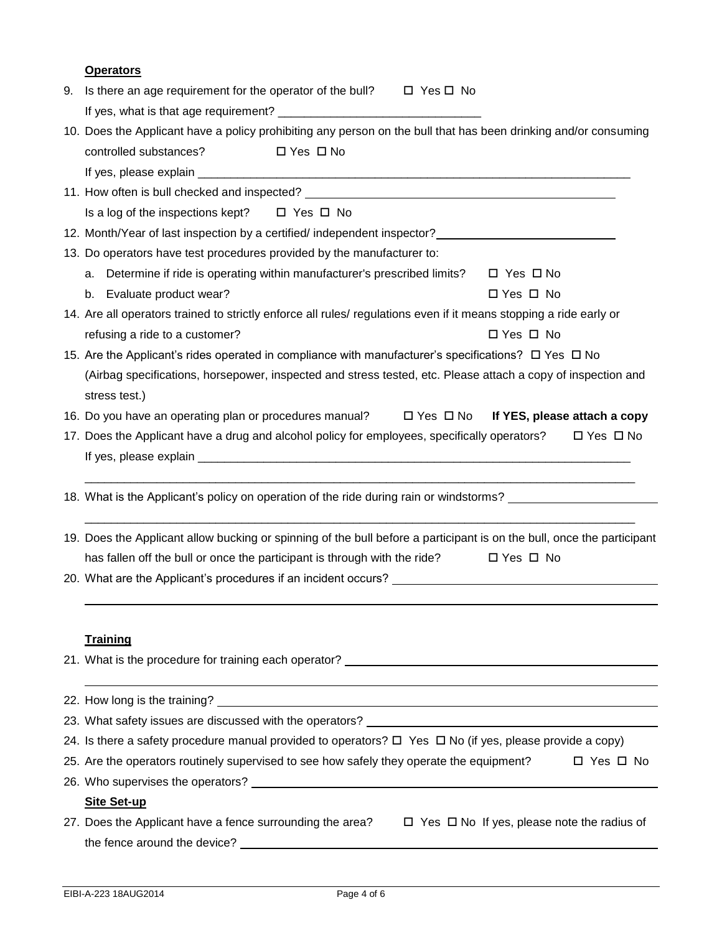|    | <b>Operators</b>                                                                                                       |            |  |
|----|------------------------------------------------------------------------------------------------------------------------|------------|--|
| 9. | Is there an age requirement for the operator of the bull? $\Box$ Yes $\Box$ No                                         |            |  |
|    |                                                                                                                        |            |  |
|    | 10. Does the Applicant have a policy prohibiting any person on the bull that has been drinking and/or consuming        |            |  |
|    | controlled substances?<br>$\Box$ Yes $\Box$ No                                                                         |            |  |
|    |                                                                                                                        |            |  |
|    |                                                                                                                        |            |  |
|    | Is a log of the inspections kept? $\Box$ Yes $\Box$ No                                                                 |            |  |
|    | 12. Month/Year of last inspection by a certified/ independent inspector? __________________________                    |            |  |
|    | 13. Do operators have test procedures provided by the manufacturer to:                                                 |            |  |
|    | a. Determine if ride is operating within manufacturer's prescribed limits? $\Box$ Yes $\Box$ No                        |            |  |
|    | b. Evaluate product wear?<br>$\Box$ Yes $\Box$ No                                                                      |            |  |
|    | 14. Are all operators trained to strictly enforce all rules/ regulations even if it means stopping a ride early or     |            |  |
|    | refusing a ride to a customer?<br>□ Yes □ No                                                                           |            |  |
|    | 15. Are the Applicant's rides operated in compliance with manufacturer's specifications? □ Yes □ No                    |            |  |
|    | (Airbag specifications, horsepower, inspected and stress tested, etc. Please attach a copy of inspection and           |            |  |
|    | stress test.)                                                                                                          |            |  |
|    | 16. Do you have an operating plan or procedures manual?<br>$\square$ Yes $\square$ No If YES, please attach a copy     |            |  |
|    | □ Yes □ No<br>17. Does the Applicant have a drug and alcohol policy for employees, specifically operators?             |            |  |
|    |                                                                                                                        |            |  |
|    |                                                                                                                        |            |  |
|    | 18. What is the Applicant's policy on operation of the ride during rain or windstorms?                                 |            |  |
|    |                                                                                                                        |            |  |
|    | 19. Does the Applicant allow bucking or spinning of the bull before a participant is on the bull, once the participant |            |  |
|    | has fallen off the bull or once the participant is through with the ride?<br>$\Box$ Yes $\Box$ No                      |            |  |
|    |                                                                                                                        |            |  |
|    |                                                                                                                        |            |  |
|    |                                                                                                                        |            |  |
|    | <b>Training</b>                                                                                                        |            |  |
|    |                                                                                                                        |            |  |
|    |                                                                                                                        |            |  |
|    |                                                                                                                        |            |  |
|    | 24. Is there a safety procedure manual provided to operators? □ Yes □ No (if yes, please provide a copy)               |            |  |
|    | 25. Are the operators routinely supervised to see how safely they operate the equipment?                               | □ Yes □ No |  |
|    |                                                                                                                        |            |  |
|    | <b>Site Set-up</b>                                                                                                     |            |  |
|    | 27. Does the Applicant have a fence surrounding the area? $\Box$ Yes $\Box$ No If yes, please note the radius of       |            |  |
|    | the fence around the device?                                                                                           |            |  |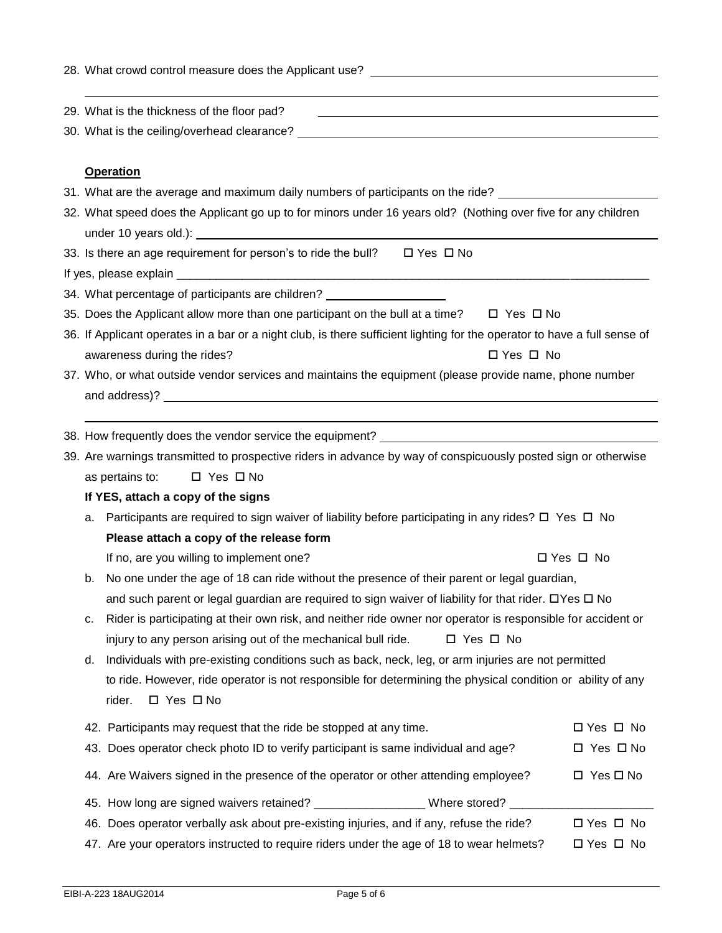| 28. What crowd control measure does the Applicant use? _________________________                                                    |                                                                                                                                                                                                                                        |                      |  |
|-------------------------------------------------------------------------------------------------------------------------------------|----------------------------------------------------------------------------------------------------------------------------------------------------------------------------------------------------------------------------------------|----------------------|--|
|                                                                                                                                     | 29. What is the thickness of the floor pad?                                                                                                                                                                                            |                      |  |
|                                                                                                                                     |                                                                                                                                                                                                                                        |                      |  |
|                                                                                                                                     | <b>Operation</b>                                                                                                                                                                                                                       |                      |  |
|                                                                                                                                     | 31. What are the average and maximum daily numbers of participants on the ride?                                                                                                                                                        |                      |  |
|                                                                                                                                     | 32. What speed does the Applicant go up to for minors under 16 years old? (Nothing over five for any children<br>under 10 years old.): <u>contract the contract of the contract of the contract of the contract of the contract of</u> |                      |  |
|                                                                                                                                     | 33. Is there an age requirement for person's to ride the bull? $\Box$ Yes $\Box$ No                                                                                                                                                    |                      |  |
|                                                                                                                                     |                                                                                                                                                                                                                                        |                      |  |
|                                                                                                                                     | 34. What percentage of participants are children? ________________________                                                                                                                                                             |                      |  |
|                                                                                                                                     | 35. Does the Applicant allow more than one participant on the bull at a time? $\Box$ Yes $\Box$ No                                                                                                                                     |                      |  |
|                                                                                                                                     | 36. If Applicant operates in a bar or a night club, is there sufficient lighting for the operator to have a full sense of                                                                                                              |                      |  |
|                                                                                                                                     | awareness during the rides?<br>$\Box$ Yes $\Box$ No                                                                                                                                                                                    |                      |  |
|                                                                                                                                     | 37. Who, or what outside vendor services and maintains the equipment (please provide name, phone number                                                                                                                                |                      |  |
|                                                                                                                                     |                                                                                                                                                                                                                                        |                      |  |
|                                                                                                                                     |                                                                                                                                                                                                                                        |                      |  |
|                                                                                                                                     |                                                                                                                                                                                                                                        |                      |  |
|                                                                                                                                     | 39. Are warnings transmitted to prospective riders in advance by way of conspicuously posted sign or otherwise                                                                                                                         |                      |  |
|                                                                                                                                     | as pertains to:<br>$\Box$ Yes $\Box$ No                                                                                                                                                                                                |                      |  |
|                                                                                                                                     | If YES, attach a copy of the signs                                                                                                                                                                                                     |                      |  |
| а.                                                                                                                                  | Participants are required to sign waiver of liability before participating in any rides? $\square$ Yes $\square$ No<br>Please attach a copy of the release form                                                                        |                      |  |
|                                                                                                                                     | If no, are you willing to implement one?                                                                                                                                                                                               | □ Yes □ No           |  |
| b.                                                                                                                                  | No one under the age of 18 can ride without the presence of their parent or legal guardian,                                                                                                                                            |                      |  |
|                                                                                                                                     | and such parent or legal guardian are required to sign waiver of liability for that rider. DYes D No                                                                                                                                   |                      |  |
| с.                                                                                                                                  | Rider is participating at their own risk, and neither ride owner nor operator is responsible for accident or                                                                                                                           |                      |  |
|                                                                                                                                     | injury to any person arising out of the mechanical bull ride.<br>□ Yes □ No                                                                                                                                                            |                      |  |
| d.                                                                                                                                  | Individuals with pre-existing conditions such as back, neck, leg, or arm injuries are not permitted                                                                                                                                    |                      |  |
| to ride. However, ride operator is not responsible for determining the physical condition or ability of any<br>□ Yes □ No<br>rider. |                                                                                                                                                                                                                                        |                      |  |
|                                                                                                                                     | 42. Participants may request that the ride be stopped at any time.                                                                                                                                                                     | □ Yes □ No           |  |
|                                                                                                                                     | 43. Does operator check photo ID to verify participant is same individual and age?                                                                                                                                                     | $\Box$ Yes $\Box$ No |  |
|                                                                                                                                     | 44. Are Waivers signed in the presence of the operator or other attending employee?                                                                                                                                                    | $\Box$ Yes $\Box$ No |  |
|                                                                                                                                     | 45. How long are signed waivers retained? ____________________Where stored? _________                                                                                                                                                  |                      |  |
|                                                                                                                                     | 46. Does operator verbally ask about pre-existing injuries, and if any, refuse the ride?                                                                                                                                               | $\Box$ Yes $\Box$ No |  |
|                                                                                                                                     | 47. Are your operators instructed to require riders under the age of 18 to wear helmets?                                                                                                                                               | $\Box$ Yes $\Box$ No |  |